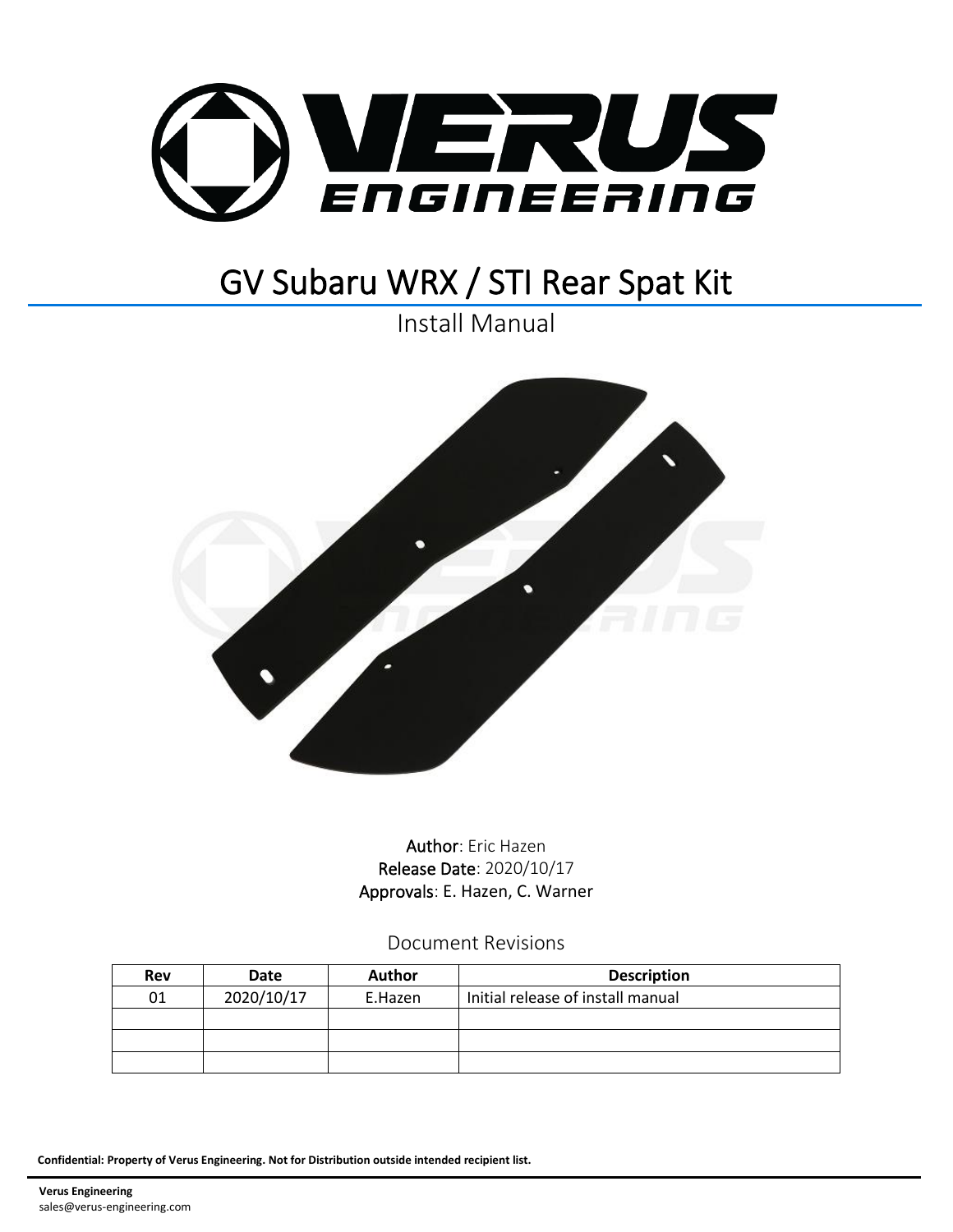

# GV Subaru WRX / STI Rear Spat Kit

Install Manual



Author: Eric Hazen Release Date: 2020/10/17 Approvals: E. Hazen, C. Warner

Document Revisions

| Rev | Date       | <b>Author</b> | <b>Description</b>                |
|-----|------------|---------------|-----------------------------------|
| 01  | 2020/10/17 | E.Hazen       | Initial release of install manual |
|     |            |               |                                   |
|     |            |               |                                   |
|     |            |               |                                   |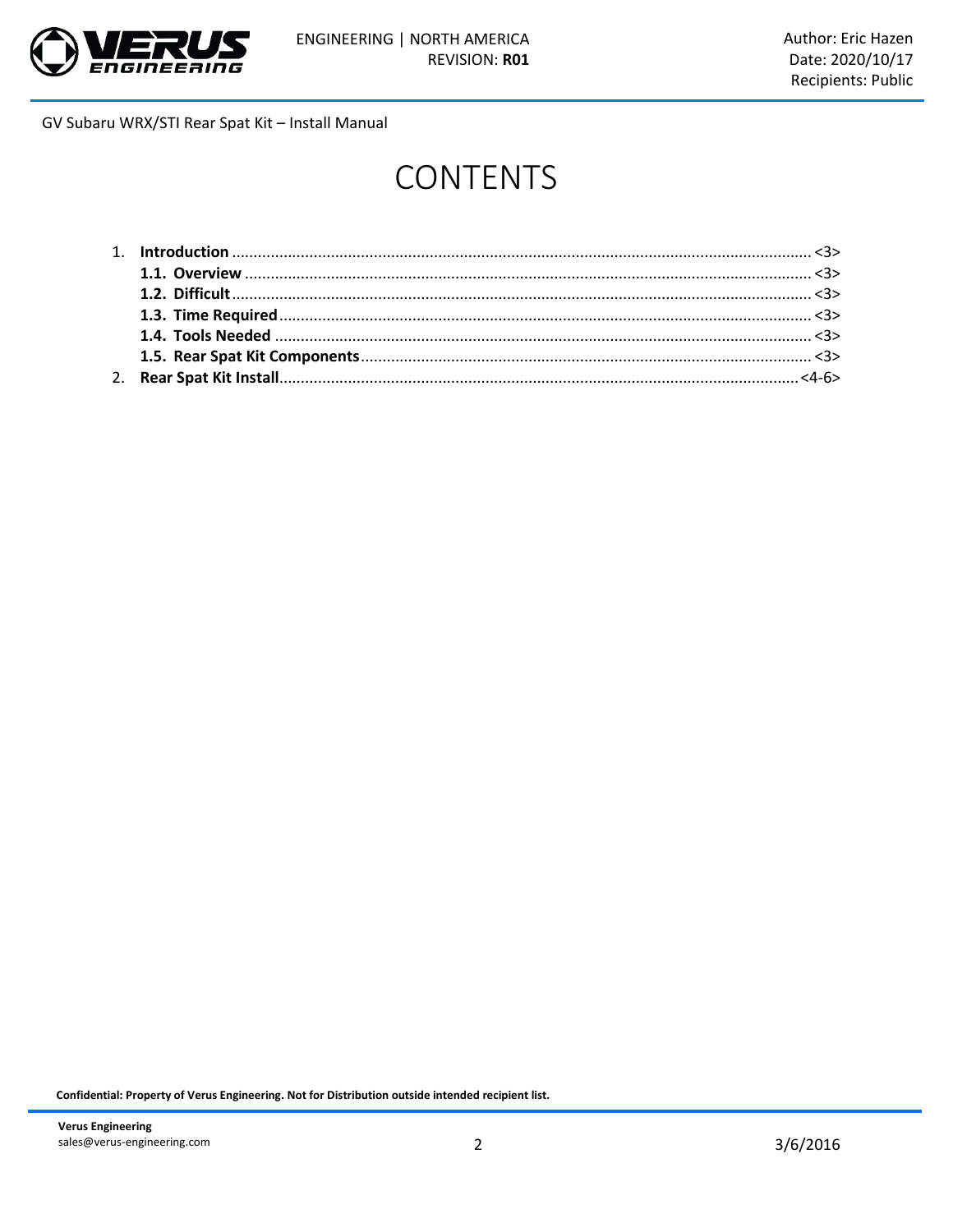

# **CONTENTS**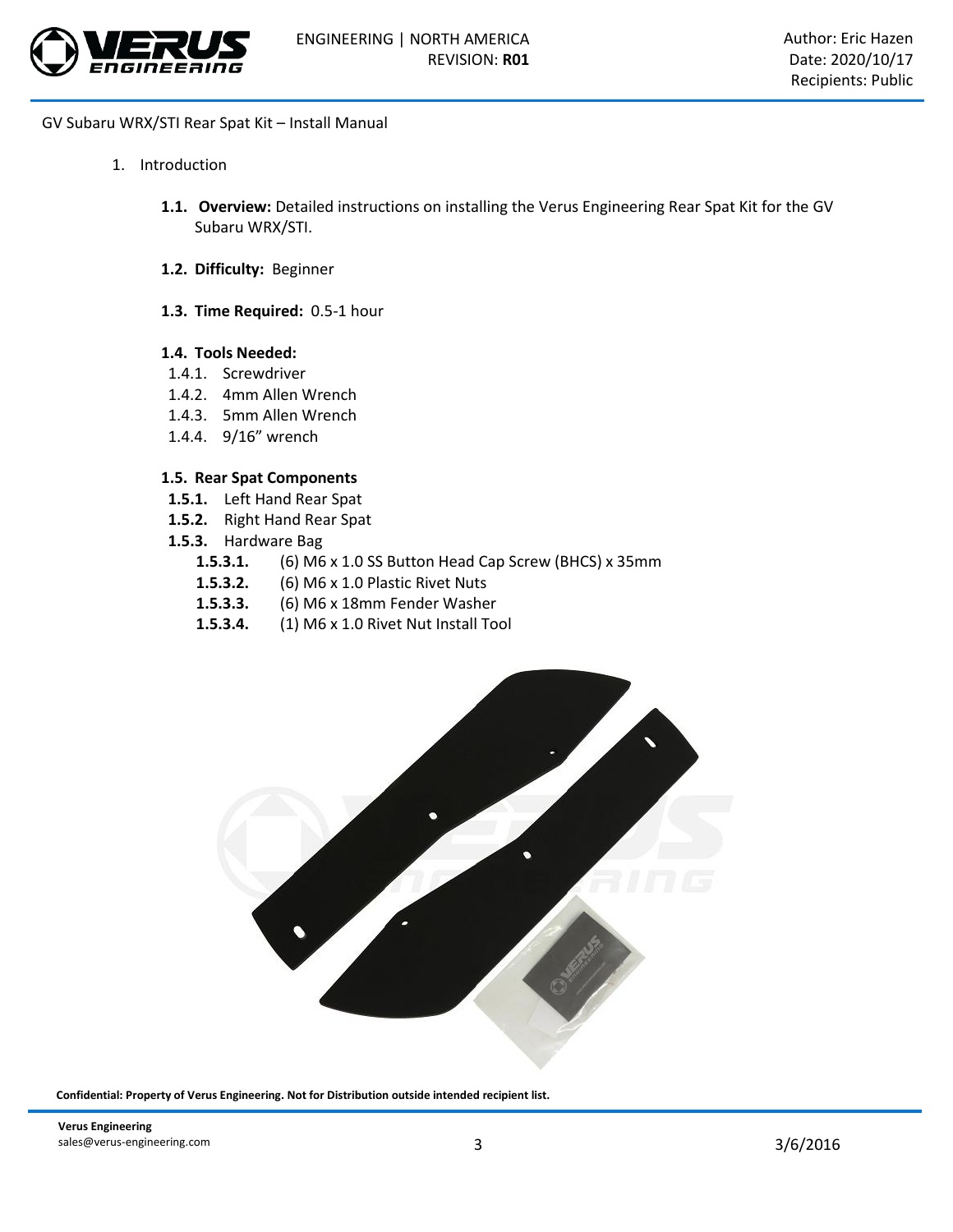

- 1. Introduction
	- **1.1. Overview:** Detailed instructions on installing the Verus Engineering Rear Spat Kit for the GV Subaru WRX/STI.
	- **1.2. Difficulty:** Beginner
	- **1.3. Time Required:** 0.5-1 hour

#### **1.4. Tools Needed:**

- 1.4.1. Screwdriver
- 1.4.2. 4mm Allen Wrench
- 1.4.3. 5mm Allen Wrench
- 1.4.4. 9/16" wrench

## **1.5. Rear Spat Components**

- **1.5.1.** Left Hand Rear Spat
- **1.5.2.** Right Hand Rear Spat
- **1.5.3.** Hardware Bag
	- **1.5.3.1.** (6) M6 x 1.0 SS Button Head Cap Screw (BHCS) x 35mm
	- **1.5.3.2.** (6) M6 x 1.0 Plastic Rivet Nuts
	- **1.5.3.3.** (6) M6 x 18mm Fender Washer
	- **1.5.3.4.** (1) M6 x 1.0 Rivet Nut Install Tool

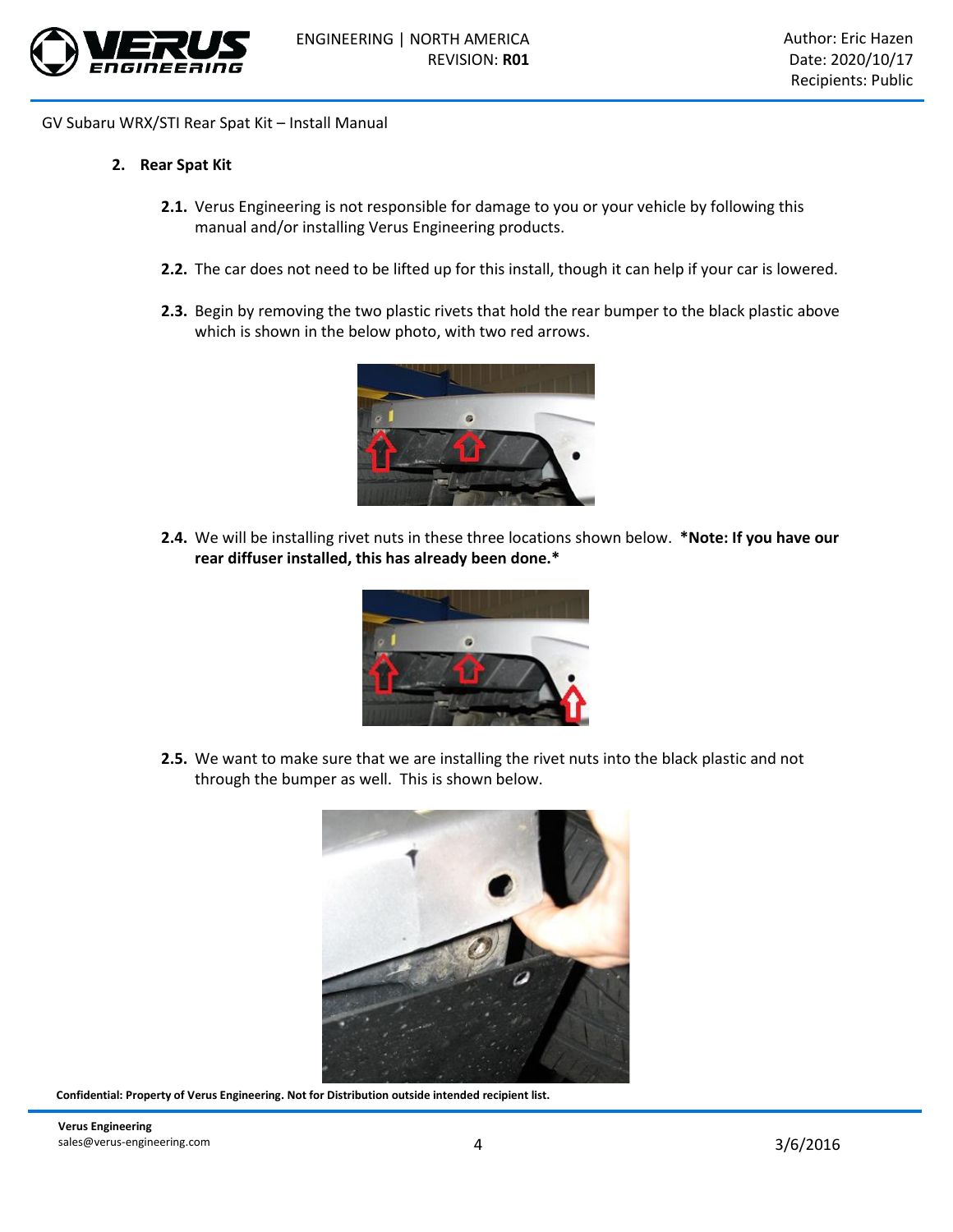

### **2. Rear Spat Kit**

- **2.1.** Verus Engineering is not responsible for damage to you or your vehicle by following this manual and/or installing Verus Engineering products.
- **2.2.** The car does not need to be lifted up for this install, though it can help if your car is lowered.
- **2.3.** Begin by removing the two plastic rivets that hold the rear bumper to the black plastic above which is shown in the below photo, with two red arrows.



**2.4.** We will be installing rivet nuts in these three locations shown below. **\*Note: If you have our rear diffuser installed, this has already been done.\***



**2.5.** We want to make sure that we are installing the rivet nuts into the black plastic and not through the bumper as well. This is shown below.

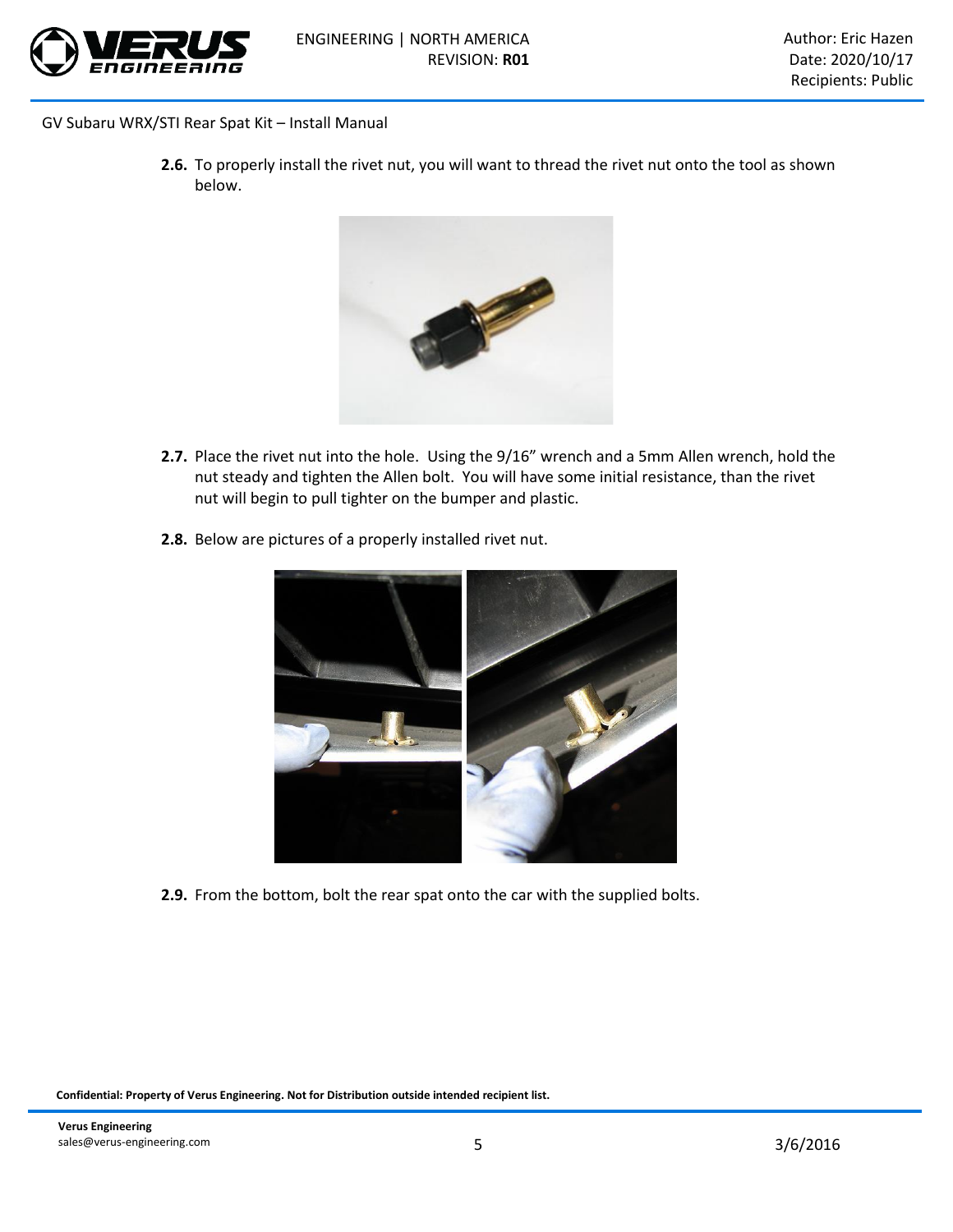

**2.6.** To properly install the rivet nut, you will want to thread the rivet nut onto the tool as shown below.



- **2.7.** Place the rivet nut into the hole. Using the 9/16" wrench and a 5mm Allen wrench, hold the nut steady and tighten the Allen bolt. You will have some initial resistance, than the rivet nut will begin to pull tighter on the bumper and plastic.
- **2.8.** Below are pictures of a properly installed rivet nut.



**2.9.** From the bottom, bolt the rear spat onto the car with the supplied bolts.